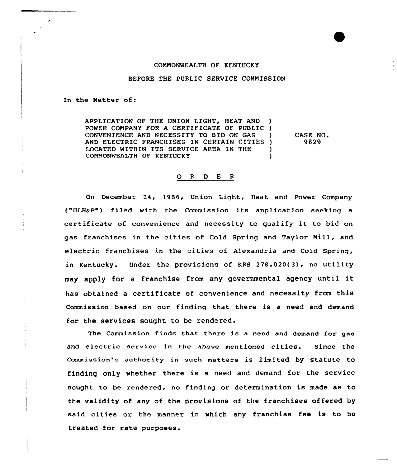## CONNONWEALTH OF KENTUCKY

## BEFORE THE PUBLIC SERVICE CONNISSION

In the Natter of:

APPLICATION OF THE UNION LIGHT, HEAT AND ) POWER CONPANY FOR A CERTIFICATE OF PUBLIC ) CONVENIENCE AND NECESSITY TO BID ON GAS AND ELECTRIC FRANCHISES IN CERTAIN CITIES ) LOCATED WITHIN ITS SERVICE AREA IN THE COMMONWEALTH OF KENTUCKY

CASE NO. 9829

## $R$ D E R  $\mathbf{o}$

On December 24, 1986, Union Light, Heat and Power Company ("ULHaP") filed with the Commission its application seeking a certificate of convenience and necessity to qualify it to bid on gas franchises in the cities of Cold Spring and Taylor Nill, and electric franchises in the cities of Alexandria and Cold Spring, in Kentucky. Under the provisions of KRS 278.020(3), no utility may apply for <sup>a</sup> franchise fram any governmental agency until it has obtained a certificate of convenience and necessity from this Commission based on our finding that there is a need and demand for the services sought to be rendered.

The Commission finds that there is <sup>a</sup> need and demand for gas and electric service in the above mentioned cities. Since the Commission's authority in such matters is limited by statute to finding only whether there is a need and demand for the service sought to be rendered, no finding or determination is made as to the validity of any of the provisions of the franchises offered by said cities or the manner in which any franchise fee is to be treated for rate purposes.